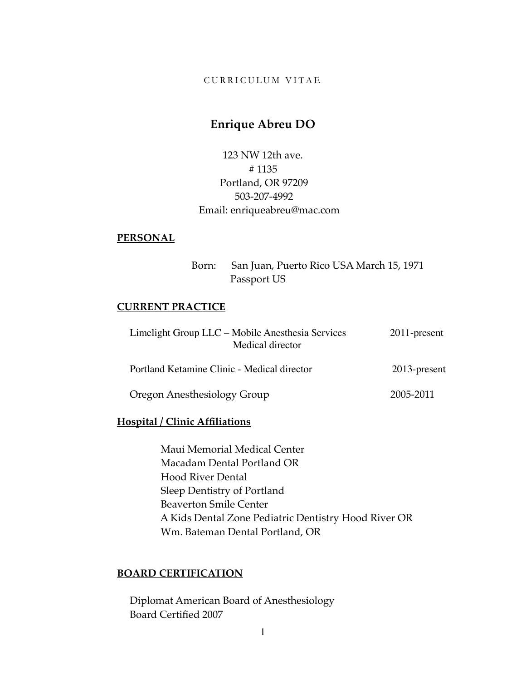#### CURRICULUM VITAE

# **Enrique Abreu DO**

123 NW 12th ave. # 1135 Portland, OR 97209 503-207-4992 Email: enriqueabreu@mac.com

#### **PERSONAL**

 Born: San Juan, Puerto Rico USA March 15, 1971 Passport US

#### **CURRENT PRACTICE**

| Limelight Group LLC - Mobile Anesthesia Services<br>Medical director | $2011$ -present |
|----------------------------------------------------------------------|-----------------|
| Portland Ketamine Clinic - Medical director                          | 2013-present    |
| Oregon Anesthesiology Group                                          | 2005-2011       |

#### **Hospital / Clinic Affiliations**

 Maui Memorial Medical Center Macadam Dental Portland OR Hood River Dental Sleep Dentistry of Portland Beaverton Smile Center A Kids Dental Zone Pediatric Dentistry Hood River OR Wm. Bateman Dental Portland, OR

# **BOARD CERTIFICATION**

 Diplomat American Board of Anesthesiology Board Certified 2007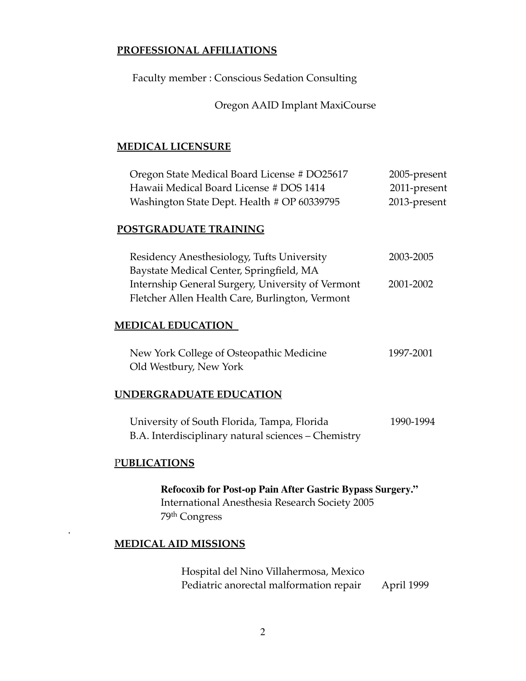### **PROFESSIONAL AFFILIATIONS**

Faculty member : Conscious Sedation Consulting

Oregon AAID Implant MaxiCourse

# **MEDICAL LICENSURE**

| Oregon State Medical Board License # DO25617 | 2005-present |
|----------------------------------------------|--------------|
| Hawaii Medical Board License # DOS 1414      | 2011-present |
| Washington State Dept. Health # OP 60339795  | 2013-present |

### **POSTGRADUATE TRAINING**

| Residency Anesthesiology, Tufts University        | 2003-2005 |
|---------------------------------------------------|-----------|
| Baystate Medical Center, Springfield, MA          |           |
| Internship General Surgery, University of Vermont | 2001-2002 |
| Fletcher Allen Health Care, Burlington, Vermont   |           |

### **MEDICAL EDUCATION**

| New York College of Osteopathic Medicine | 1997-2001 |
|------------------------------------------|-----------|
| Old Westbury, New York                   |           |

#### **UNDERGRADUATE EDUCATION**

University of South Florida, Tampa, Florida 1990-1994 B.A. Interdisciplinary natural sciences – Chemistry

#### P**UBLICATIONS**

.

**Refocoxib for Post-op Pain After Gastric Bypass Surgery."** International Anesthesia Research Society 2005 79th Congress

#### **MEDICAL AID MISSIONS**

 Hospital del Nino Villahermosa, Mexico Pediatric anorectal malformation repair April 1999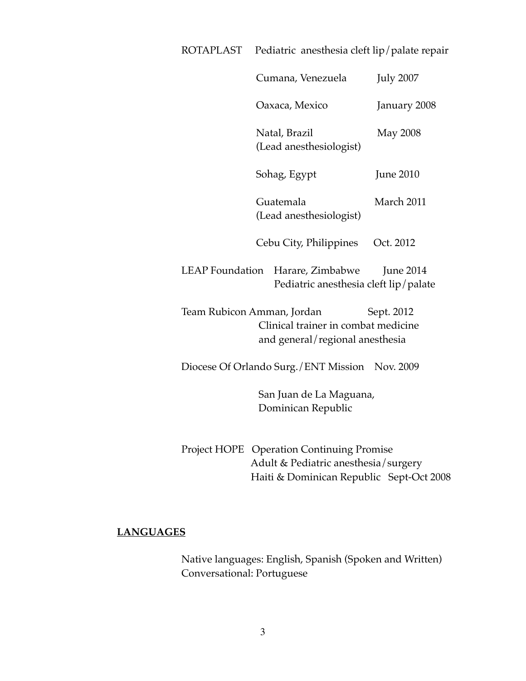| ROTAPLAST |                                                                                                                                                                                                                                                                                                                                                                                                        | Pediatric anesthesia cleft lip/palate repair |  |
|-----------|--------------------------------------------------------------------------------------------------------------------------------------------------------------------------------------------------------------------------------------------------------------------------------------------------------------------------------------------------------------------------------------------------------|----------------------------------------------|--|
|           | Cumana, Venezuela                                                                                                                                                                                                                                                                                                                                                                                      | <b>July 2007</b>                             |  |
|           | Oaxaca, Mexico                                                                                                                                                                                                                                                                                                                                                                                         | January 2008                                 |  |
|           | Natal, Brazil<br>(Lead anesthesiologist)                                                                                                                                                                                                                                                                                                                                                               | <b>May 2008</b>                              |  |
|           | Sohag, Egypt                                                                                                                                                                                                                                                                                                                                                                                           | <b>June 2010</b>                             |  |
|           | Guatemala<br>(Lead anesthesiologist)                                                                                                                                                                                                                                                                                                                                                                   | March 2011                                   |  |
|           | Cebu City, Philippines                                                                                                                                                                                                                                                                                                                                                                                 | Oct. 2012                                    |  |
|           | LEAP Foundation Harare, Zimbabwe<br>Pediatric anesthesia cleft lip/palate                                                                                                                                                                                                                                                                                                                              | <b>June 2014</b>                             |  |
|           | Team Rubicon Amman, Jordan<br>Clinical trainer in combat medicine<br>and general/regional anesthesia                                                                                                                                                                                                                                                                                                   | Sept. 2012                                   |  |
|           | Diocese Of Orlando Surg./ENT Mission Nov. 2009                                                                                                                                                                                                                                                                                                                                                         |                                              |  |
|           | San Juan de La Maguana,<br>Dominican Republic                                                                                                                                                                                                                                                                                                                                                          |                                              |  |
|           | Project HOPE Operation Continuing Promise<br>$\lambda$ 1 1 $\alpha$ m 1 $\alpha$ i 1 $\alpha$ 1 $\alpha$ 1 $\alpha$ 1 $\alpha$ 1 $\alpha$ 1 $\alpha$ 1 $\alpha$ 1 $\alpha$ 1 $\alpha$ 1 $\alpha$ 1 $\alpha$ 1 $\alpha$ 1 $\alpha$ 1 $\alpha$ 1 $\alpha$ 1 $\alpha$ 1 $\alpha$ 1 $\alpha$ 1 $\alpha$ 1 $\alpha$ 1 $\alpha$ 1 $\alpha$ 1 $\alpha$ 1 $\alpha$ 1 $\alpha$ 1 $\alpha$ 1 $\alpha$ 1 $\alpha$ |                                              |  |

 Adult & Pediatric anesthesia/surgery Haiti & Dominican Republic Sept-Oct 2008

# **LANGUAGES**

 Native languages: English, Spanish (Spoken and Written) Conversational: Portuguese